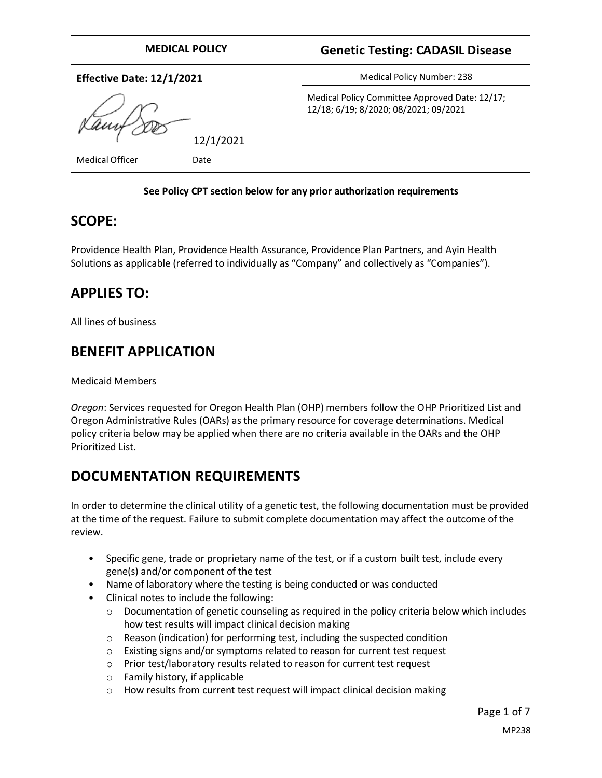| <b>MEDICAL POLICY</b>            | <b>Genetic Testing: CADASIL Disease</b>                                                 |
|----------------------------------|-----------------------------------------------------------------------------------------|
| <b>Effective Date: 12/1/2021</b> | Medical Policy Number: 238                                                              |
|                                  | Medical Policy Committee Approved Date: 12/17;<br>12/18; 6/19; 8/2020; 08/2021; 09/2021 |
| 12/1/2021                        |                                                                                         |
| Medical Officer<br>Date          |                                                                                         |

#### **See Policy CPT section below for any prior authorization requirements**

### **SCOPE:**

Providence Health Plan, Providence Health Assurance, Providence Plan Partners, and Ayin Health Solutions as applicable (referred to individually as "Company" and collectively as "Companies").

# **APPLIES TO:**

All lines of business

# **BENEFIT APPLICATION**

#### Medicaid Members

*Oregon*: Services requested for Oregon Health Plan (OHP) members follow the OHP Prioritized List and Oregon Administrative Rules (OARs) as the primary resource for coverage determinations. Medical policy criteria below may be applied when there are no criteria available in the OARs and the OHP Prioritized List.

# **DOCUMENTATION REQUIREMENTS**

In order to determine the clinical utility of a genetic test, the following documentation must be provided at the time of the request. Failure to submit complete documentation may affect the outcome of the review.

- Specific gene, trade or proprietary name of the test, or if a custom built test, include every gene(s) and/or component of the test
- Name of laboratory where the testing is being conducted or was conducted
- Clinical notes to include the following:
	- $\circ$  Documentation of genetic counseling as required in the policy criteria below which includes how test results will impact clinical decision making
	- o Reason (indication) for performing test, including the suspected condition
	- o Existing signs and/or symptoms related to reason for current test request
	- o Prior test/laboratory results related to reason for current test request
	- o Family history, if applicable
	- o How results from current test request will impact clinical decision making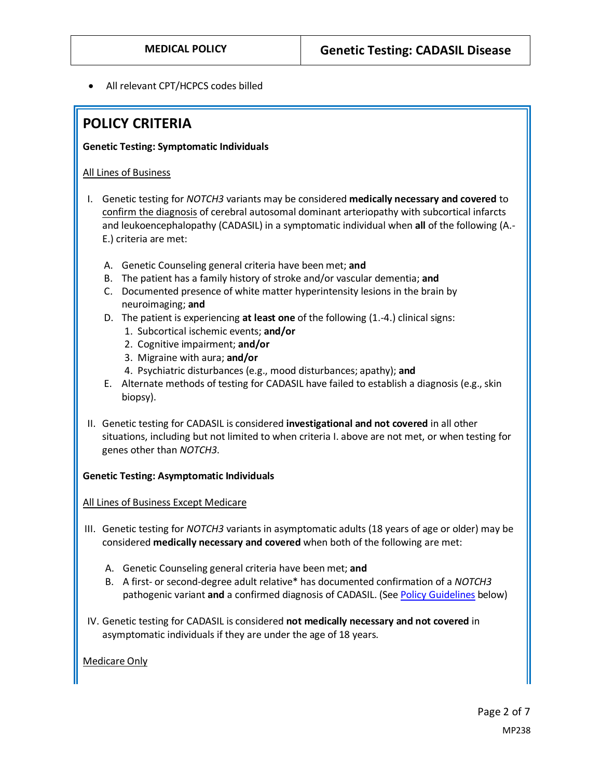• All relevant CPT/HCPCS codes billed

### **POLICY CRITERIA**

#### **Genetic Testing: Symptomatic Individuals**

#### All Lines of Business

- I. Genetic testing for *NOTCH3* variants may be considered **medically necessary and covered** to confirm the diagnosis of cerebral autosomal dominant arteriopathy with subcortical infarcts and leukoencephalopathy (CADASIL) in a symptomatic individual when **all** of the following (A.- E.) criteria are met:
	- A. Genetic Counseling general criteria have been met; **and**
	- B. The patient has a family history of stroke and/or vascular dementia; **and**
	- C. Documented presence of white matter hyperintensity lesions in the brain by neuroimaging; **and**
	- D. The patient is experiencing **at least one** of the following (1.-4.) clinical signs:
		- 1. Subcortical ischemic events; **and/or**
		- 2. Cognitive impairment; **and/or**
		- 3. Migraine with aura; **and/or**
		- 4. Psychiatric disturbances (e.g., mood disturbances; apathy); **and**
	- E. Alternate methods of testing for CADASIL have failed to establish a diagnosis (e.g., skin biopsy).
- II. Genetic testing for CADASIL is considered **investigational and not covered** in all other situations, including but not limited to when criteria I. above are not met, or when testing for genes other than *NOTCH3*.

#### **Genetic Testing: Asymptomatic Individuals**

#### All Lines of Business Except Medicare

- III. Genetic testing for *NOTCH3* variants in asymptomatic adults (18 years of age or older) may be considered **medically necessary and covered** when both of the following are met:
	- A. Genetic Counseling general criteria have been met; **and**
	- B. A first- or second-degree adult relative\* has documented confirmation of a *NOTCH3* pathogenic variant **and** a confirmed diagnosis of CADASIL. (Se[e Policy Guidelines](#page-2-0) below)
- IV. Genetic testing for CADASIL is considered **not medically necessary and not covered** in asymptomatic individuals if they are under the age of 18 years.

Medicare Only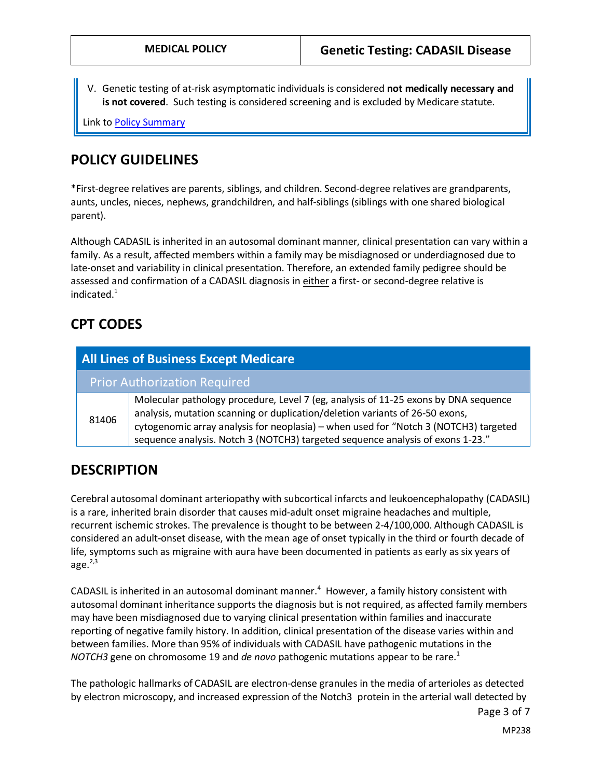V. Genetic testing of at-risk asymptomatic individuals is considered **not medically necessary and is not covered**. Such testing is considered screening and is excluded by Medicare statute.

Link t[o Policy Summary](#page-4-0)

### <span id="page-2-0"></span>**POLICY GUIDELINES**

\*First-degree relatives are parents, siblings, and children. Second-degree relatives are grandparents, aunts, uncles, nieces, nephews, grandchildren, and half-siblings (siblings with one shared biological parent).

Although CADASIL is inherited in an autosomal dominant manner, clinical presentation can vary within a family. As a result, affected members within a family may be misdiagnosed or underdiagnosed due to late-onset and variability in clinical presentation. Therefore, an extended family pedigree should be assessed and confirmation of a CADASIL diagnosis in either a first- or second-degree relative is indicated.<sup>1</sup>

### **CPT CODES**

| <b>All Lines of Business Except Medicare</b> |                                                                                                                                                                                                                                                                                                                                               |
|----------------------------------------------|-----------------------------------------------------------------------------------------------------------------------------------------------------------------------------------------------------------------------------------------------------------------------------------------------------------------------------------------------|
|                                              | <b>Prior Authorization Required</b>                                                                                                                                                                                                                                                                                                           |
| 81406                                        | Molecular pathology procedure, Level 7 (eg, analysis of 11-25 exons by DNA sequence<br>analysis, mutation scanning or duplication/deletion variants of 26-50 exons,<br>cytogenomic array analysis for neoplasia) – when used for "Notch 3 (NOTCH3) targeted<br>sequence analysis. Notch 3 (NOTCH3) targeted sequence analysis of exons 1-23." |

### **DESCRIPTION**

Cerebral autosomal dominant arteriopathy with subcortical infarcts and leukoencephalopathy (CADASIL) is a rare, inherited brain disorder that causes mid-adult onset migraine headaches and multiple, recurrent ischemic strokes. The prevalence is thought to be between 2-4/100,000. Although CADASIL is considered an adult-onset disease, with the mean age of onset typically in the third or fourth decade of life, symptoms such as migraine with aura have been documented in patients as early as six years of age. $2,3$ 

CADASIL is inherited in an autosomal dominant manner.<sup>4</sup> However, a family history consistent with autosomal dominant inheritance supports the diagnosis but is not required, as affected family members may have been misdiagnosed due to varying clinical presentation within families and inaccurate reporting of negative family history. In addition, clinical presentation of the disease varies within and between families. More than 95% of individuals with CADASIL have pathogenic mutations in the *NOTCH3* gene on chromosome 19 and *de novo* pathogenic mutations appear to be rare.<sup>1</sup>

The pathologic hallmarks of CADASIL are electron-dense granules in the media of arterioles as detected by electron microscopy, and increased expression of the Notch3 protein in the arterial wall detected by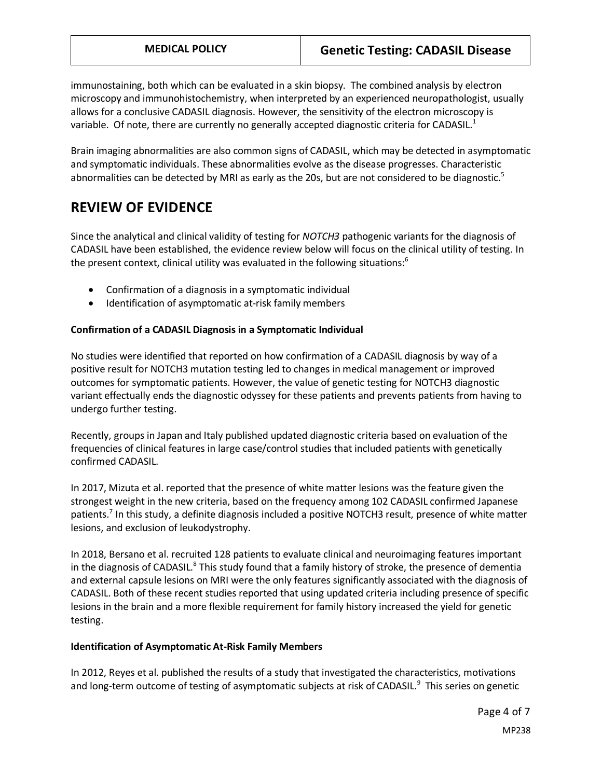immunostaining, both which can be evaluated in a skin biopsy. The combined analysis by electron microscopy and immunohistochemistry, when interpreted by an experienced neuropathologist, usually allows for a conclusive CADASIL diagnosis. However, the sensitivity of the electron microscopy is variable. Of note, there are currently no generally accepted diagnostic criteria for CADASIL. $<sup>1</sup>$ </sup>

Brain imaging abnormalities are also common signs of CADASIL, which may be detected in asymptomatic and symptomatic individuals. These abnormalities evolve as the disease progresses. Characteristic abnormalities can be detected by MRI as early as the 20s, but are not considered to be diagnostic.<sup>5</sup>

## **REVIEW OF EVIDENCE**

Since the analytical and clinical validity of testing for *NOTCH3* pathogenic variants for the diagnosis of CADASIL have been established, the evidence review below will focus on the clinical utility of testing. In the present context, clinical utility was evaluated in the following situations:<sup>6</sup>

- Confirmation of a diagnosis in a symptomatic individual
- Identification of asymptomatic at-risk family members

#### **Confirmation of a CADASIL Diagnosis in a Symptomatic Individual**

No studies were identified that reported on how confirmation of a CADASIL diagnosis by way of a positive result for NOTCH3 mutation testing led to changes in medical management or improved outcomes for symptomatic patients. However, the value of genetic testing for NOTCH3 diagnostic variant effectually ends the diagnostic odyssey for these patients and prevents patients from having to undergo further testing.

Recently, groups in Japan and Italy published updated diagnostic criteria based on evaluation of the frequencies of clinical features in large case/control studies that included patients with genetically confirmed CADASIL.

In 2017, Mizuta et al. reported that the presence of white matter lesions was the feature given the strongest weight in the new criteria, based on the frequency among 102 CADASIL confirmed Japanese patients.<sup>7</sup> In this study, a definite diagnosis included a positive NOTCH3 result, presence of white matter lesions, and exclusion of leukodystrophy.

In 2018, Bersano et al. recruited 128 patients to evaluate clinical and neuroimaging features important in the diagnosis of CADASIL.<sup>8</sup> This study found that a family history of stroke, the presence of dementia and external capsule lesions on MRI were the only features significantly associated with the diagnosis of CADASIL. Both of these recent studies reported that using updated criteria including presence of specific lesions in the brain and a more flexible requirement for family history increased the yield for genetic testing.

#### **Identification of Asymptomatic At-Risk Family Members**

In 2012, Reyes et al. published the results of a study that investigated the characteristics, motivations and long-term outcome of testing of asymptomatic subjects at risk of CADASIL.<sup>9</sup> This series on genetic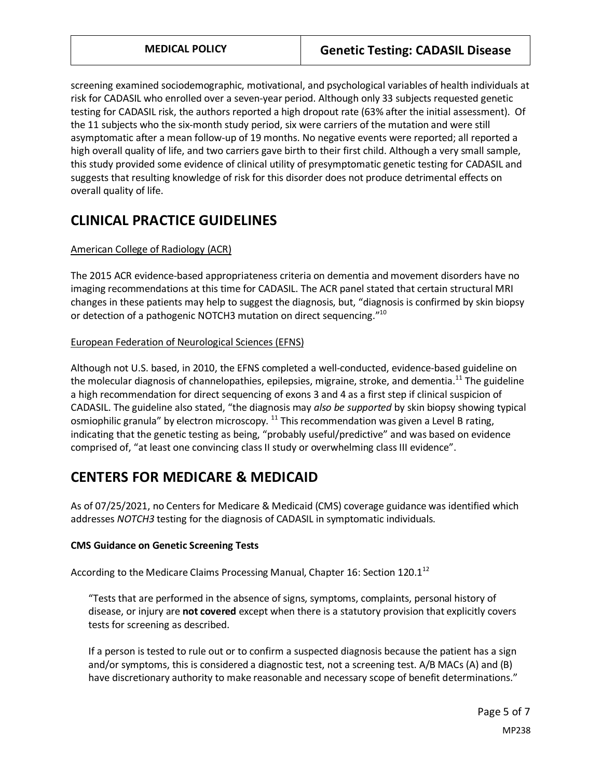screening examined sociodemographic, motivational, and psychological variables of health individuals at risk for CADASIL who enrolled over a seven-year period. Although only 33 subjects requested genetic testing for CADASIL risk, the authors reported a high dropout rate (63% after the initial assessment). Of the 11 subjects who the six-month study period, six were carriers of the mutation and were still asymptomatic after a mean follow-up of 19 months. No negative events were reported; all reported a high overall quality of life, and two carriers gave birth to their first child. Although a very small sample, this study provided some evidence of clinical utility of presymptomatic genetic testing for CADASIL and suggests that resulting knowledge of risk for this disorder does not produce detrimental effects on overall quality of life.

## **CLINICAL PRACTICE GUIDELINES**

#### American College of Radiology (ACR)

The 2015 ACR evidence-based appropriateness criteria on dementia and movement disorders have no imaging recommendations at this time for CADASIL. The ACR panel stated that certain structural MRI changes in these patients may help to suggest the diagnosis, but, "diagnosis is confirmed by skin biopsy or detection of a pathogenic NOTCH3 mutation on direct sequencing."10

#### European Federation of Neurological Sciences (EFNS)

Although not U.S. based, in 2010, the EFNS completed a well-conducted, evidence-based guideline on the molecular diagnosis of channelopathies, epilepsies, migraine, stroke, and dementia.<sup>11</sup> The guideline a high recommendation for direct sequencing of exons 3 and 4 as a first step if clinical suspicion of CADASIL. The guideline also stated, "the diagnosis may *also be supported* by skin biopsy showing typical osmiophilic granula" by electron microscopy. <sup>11</sup> This recommendation was given a Level B rating, indicating that the genetic testing as being, "probably useful/predictive" and was based on evidence comprised of, "at least one convincing class II study or overwhelming class III evidence".

## <span id="page-4-0"></span>**CENTERS FOR MEDICARE & MEDICAID**

As of 07/25/2021, no Centers for Medicare & Medicaid (CMS) coverage guidance was identified which addresses *NOTCH3* testing for the diagnosis of CADASIL in symptomatic individuals.

#### **CMS Guidance on Genetic Screening Tests**

According to the Medicare Claims Processing Manual, Chapter 16: Section 120.1<sup>12</sup>

"Tests that are performed in the absence of signs, symptoms, complaints, personal history of disease, or injury are **not covered** except when there is a statutory provision that explicitly covers tests for screening as described.

If a person is tested to rule out or to confirm a suspected diagnosis because the patient has a sign and/or symptoms, this is considered a diagnostic test, not a screening test. A/B MACs (A) and (B) have discretionary authority to make reasonable and necessary scope of benefit determinations."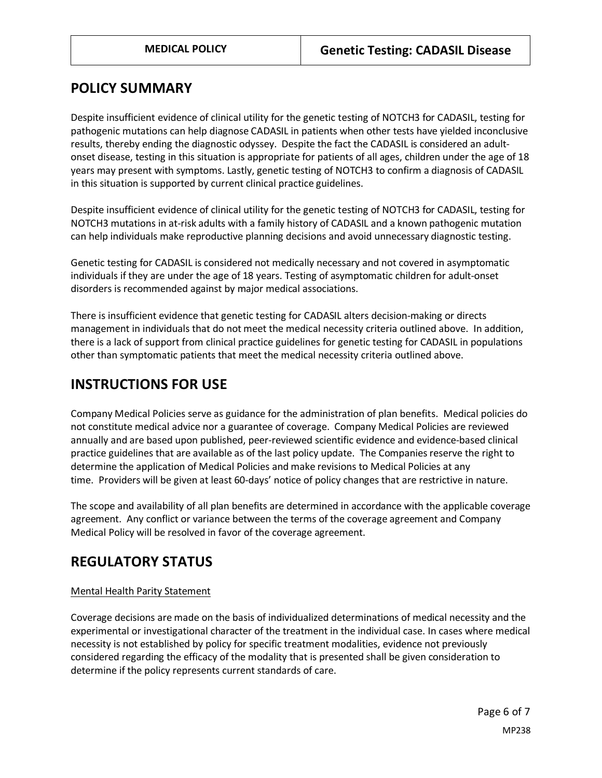### **POLICY SUMMARY**

Despite insufficient evidence of clinical utility for the genetic testing of NOTCH3 for CADASIL, testing for pathogenic mutations can help diagnose CADASIL in patients when other tests have yielded inconclusive results, thereby ending the diagnostic odyssey. Despite the fact the CADASIL is considered an adultonset disease, testing in this situation is appropriate for patients of all ages, children under the age of 18 years may present with symptoms. Lastly, genetic testing of NOTCH3 to confirm a diagnosis of CADASIL in this situation is supported by current clinical practice guidelines.

Despite insufficient evidence of clinical utility for the genetic testing of NOTCH3 for CADASIL, testing for NOTCH3 mutations in at-risk adults with a family history of CADASIL and a known pathogenic mutation can help individuals make reproductive planning decisions and avoid unnecessary diagnostic testing.

Genetic testing for CADASIL is considered not medically necessary and not covered in asymptomatic individuals if they are under the age of 18 years. Testing of asymptomatic children for adult-onset disorders is recommended against by major medical associations.

There is insufficient evidence that genetic testing for CADASIL alters decision-making or directs management in individuals that do not meet the medical necessity criteria outlined above. In addition, there is a lack of support from clinical practice guidelines for genetic testing for CADASIL in populations other than symptomatic patients that meet the medical necessity criteria outlined above.

## **INSTRUCTIONS FOR USE**

Company Medical Policies serve as guidance for the administration of plan benefits. Medical policies do not constitute medical advice nor a guarantee of coverage. Company Medical Policies are reviewed annually and are based upon published, peer-reviewed scientific evidence and evidence-based clinical practice guidelines that are available as of the last policy update. The Companies reserve the right to determine the application of Medical Policies and make revisions to Medical Policies at any time. Providers will be given at least 60-days' notice of policy changes that are restrictive in nature.

The scope and availability of all plan benefits are determined in accordance with the applicable coverage agreement. Any conflict or variance between the terms of the coverage agreement and Company Medical Policy will be resolved in favor of the coverage agreement.

## **REGULATORY STATUS**

#### Mental Health Parity Statement

Coverage decisions are made on the basis of individualized determinations of medical necessity and the experimental or investigational character of the treatment in the individual case. In cases where medical necessity is not established by policy for specific treatment modalities, evidence not previously considered regarding the efficacy of the modality that is presented shall be given consideration to determine if the policy represents current standards of care.